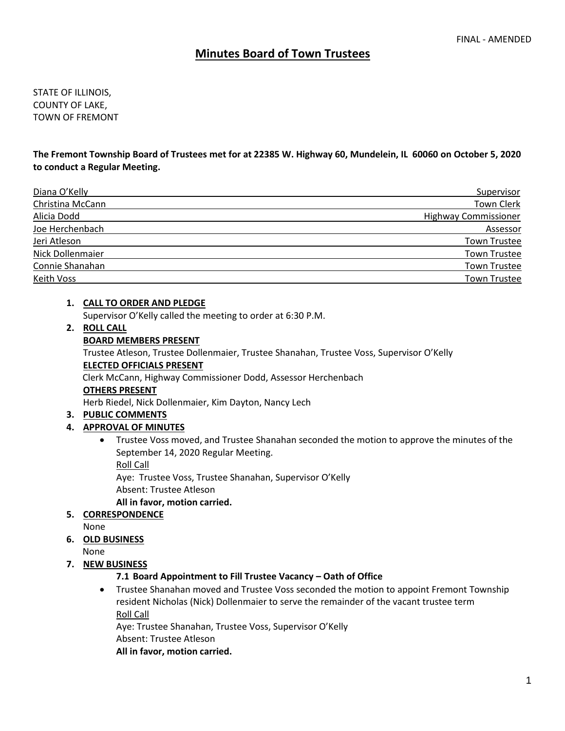# **Minutes Board of Town Trustees**

STATE OF ILLINOIS, COUNTY OF LAKE, TOWN OF FREMONT

**The Fremont Township Board of Trustees met for at 22385 W. Highway 60, Mundelein, IL 60060 on October 5, 2020 to conduct a Regular Meeting.** 

| Diana O'Kelly    | Supervisor                  |
|------------------|-----------------------------|
| Christina McCann | <b>Town Clerk</b>           |
| Alicia Dodd      | <b>Highway Commissioner</b> |
| Joe Herchenbach  | Assessor                    |
| Jeri Atleson     | <b>Town Trustee</b>         |
| Nick Dollenmaier | <b>Town Trustee</b>         |
| Connie Shanahan  | <b>Town Trustee</b>         |
| Keith Voss       | <b>Town Trustee</b>         |

#### **1. CALL TO ORDER AND PLEDGE**

Supervisor O'Kelly called the meeting to order at 6:30 P.M.

#### **2. ROLL CALL**

#### **BOARD MEMBERS PRESENT**

Trustee Atleson, Trustee Dollenmaier, Trustee Shanahan, Trustee Voss, Supervisor O'Kelly **ELECTED OFFICIALS PRESENT**

Clerk McCann, Highway Commissioner Dodd, Assessor Herchenbach

#### **OTHERS PRESENT**

Herb Riedel, Nick Dollenmaier, Kim Dayton, Nancy Lech

#### **3. PUBLIC COMMENTS**

#### **4. APPROVAL OF MINUTES**

• Trustee Voss moved, and Trustee Shanahan seconded the motion to approve the minutes of the September 14, 2020 Regular Meeting.

Roll Call

Aye: Trustee Voss, Trustee Shanahan, Supervisor O'Kelly Absent: Trustee Atleson

#### **All in favor, motion carried.**

**5. CORRESPONDENCE**

None

**6. OLD BUSINESS**

None

#### **7. NEW BUSINESS**

#### **7.1 Board Appointment to Fill Trustee Vacancy – Oath of Office**

• Trustee Shanahan moved and Trustee Voss seconded the motion to appoint Fremont Township resident Nicholas (Nick) Dollenmaier to serve the remainder of the vacant trustee term Roll Call

Aye: Trustee Shanahan, Trustee Voss, Supervisor O'Kelly

Absent: Trustee Atleson

**All in favor, motion carried.**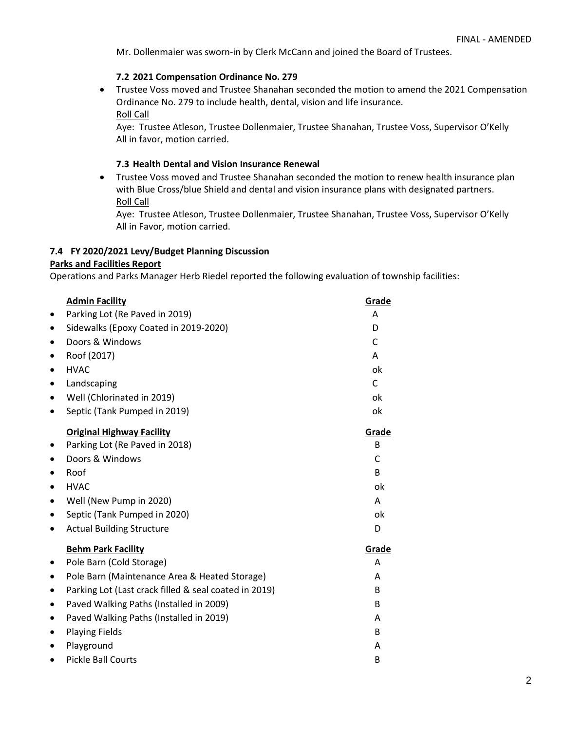Mr. Dollenmaier was sworn-in by Clerk McCann and joined the Board of Trustees.

## **7.2 2021 Compensation Ordinance No. 279**

• Trustee Voss moved and Trustee Shanahan seconded the motion to amend the 2021 Compensation Ordinance No. 279 to include health, dental, vision and life insurance. Roll Call

Aye: Trustee Atleson, Trustee Dollenmaier, Trustee Shanahan, Trustee Voss, Supervisor O'Kelly All in favor, motion carried.

### **7.3 Health Dental and Vision Insurance Renewal**

• Trustee Voss moved and Trustee Shanahan seconded the motion to renew health insurance plan with Blue Cross/blue Shield and dental and vision insurance plans with designated partners. Roll Call

Aye: Trustee Atleson, Trustee Dollenmaier, Trustee Shanahan, Trustee Voss, Supervisor O'Kelly All in Favor, motion carried.

## **7.4 FY 2020/2021 Levy/Budget Planning Discussion**

### **Parks and Facilities Report**

Operations and Parks Manager Herb Riedel reported the following evaluation of township facilities:

|   | <b>Admin Facility</b>                                 | Grade |
|---|-------------------------------------------------------|-------|
|   | Parking Lot (Re Paved in 2019)                        | A     |
|   | Sidewalks (Epoxy Coated in 2019-2020)                 | D     |
| ٠ | Doors & Windows                                       | C     |
|   | Roof (2017)                                           | A     |
|   | <b>HVAC</b>                                           | ok    |
|   | Landscaping                                           | C     |
|   | Well (Chlorinated in 2019)                            | ok    |
|   | Septic (Tank Pumped in 2019)                          | ok    |
|   | <b>Original Highway Facility</b>                      | Grade |
|   | Parking Lot (Re Paved in 2018)                        | B     |
|   | Doors & Windows                                       | C     |
|   | Roof                                                  | B     |
|   | <b>HVAC</b>                                           | ok    |
|   | Well (New Pump in 2020)                               | A     |
| ٠ | Septic (Tank Pumped in 2020)                          | ok    |
|   | <b>Actual Building Structure</b>                      | D     |
|   | <b>Behm Park Facility</b>                             | Grade |
|   | Pole Barn (Cold Storage)                              | A     |
|   | Pole Barn (Maintenance Area & Heated Storage)         | A     |
|   | Parking Lot (Last crack filled & seal coated in 2019) | B     |
| ٠ | Paved Walking Paths (Installed in 2009)               | B     |
| ٠ | Paved Walking Paths (Installed in 2019)               | A     |
|   | <b>Playing Fields</b>                                 | B     |
|   | Playground                                            | A     |
|   | <b>Pickle Ball Courts</b>                             | B     |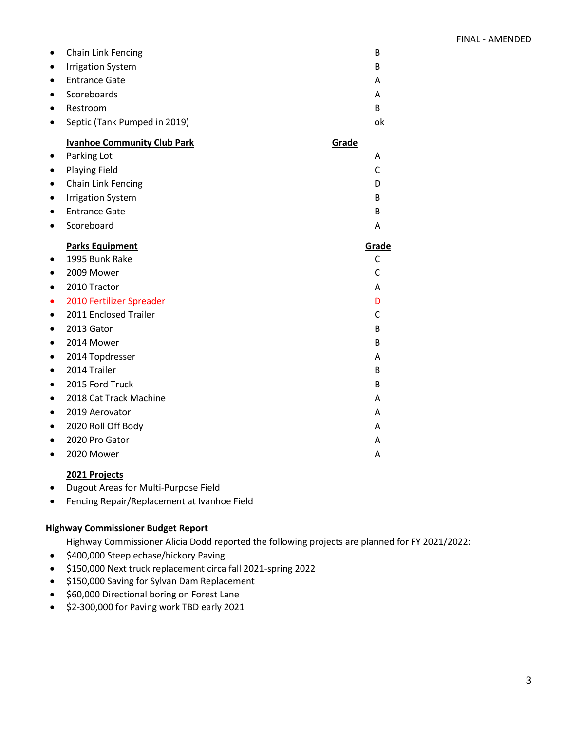| $\bullet$ | <b>Chain Link Fencing</b>    | в  |
|-----------|------------------------------|----|
| $\bullet$ | <b>Irrigation System</b>     | в  |
| $\bullet$ | <b>Entrance Gate</b>         | А  |
| $\bullet$ | Scoreboards                  | Α  |
| $\bullet$ | Restroom                     | в  |
| $\bullet$ | Septic (Tank Pumped in 2019) | ok |

# **Ivanhoe Community Club Park Grade Grade**

|           | Parking Lot              | A     |
|-----------|--------------------------|-------|
| ٠         | <b>Playing Field</b>     | C     |
|           | Chain Link Fencing       | D     |
|           | <b>Irrigation System</b> | B     |
| ٠         | <b>Entrance Gate</b>     | B     |
| $\bullet$ | Scoreboard               | A     |
|           | <b>Parks Equipment</b>   | Grade |
|           | 1995 Bunk Rake           | C     |
|           | 2009 Mower               | C     |
|           | 2010 Tractor             | A     |
| $\bullet$ | 2010 Fertilizer Spreader | D     |
|           | 2011 Enclosed Trailer    | C     |
| $\bullet$ | 2013 Gator               | B     |
|           | 2014 Mower               | B     |
| $\bullet$ | 2014 Topdresser          | A     |
| $\bullet$ | 2014 Trailer             | B     |
| ٠         | 2015 Ford Truck          | B     |
| ٠         | 2018 Cat Track Machine   | A     |
| $\bullet$ | 2019 Aerovator           | A     |
|           | 2020 Roll Off Body       | A     |
|           | 2020 Pro Gator           | Α     |
|           |                          |       |

• 2020 Mower A

### **2021 Projects**

- Dugout Areas for Multi-Purpose Field
- Fencing Repair/Replacement at Ivanhoe Field

### **Highway Commissioner Budget Report**

Highway Commissioner Alicia Dodd reported the following projects are planned for FY 2021/2022:

- \$400,000 Steeplechase/hickory Paving
- \$150,000 Next truck replacement circa fall 2021-spring 2022
- \$150,000 Saving for Sylvan Dam Replacement
- \$60,000 Directional boring on Forest Lane
- \$2-300,000 for Paving work TBD early 2021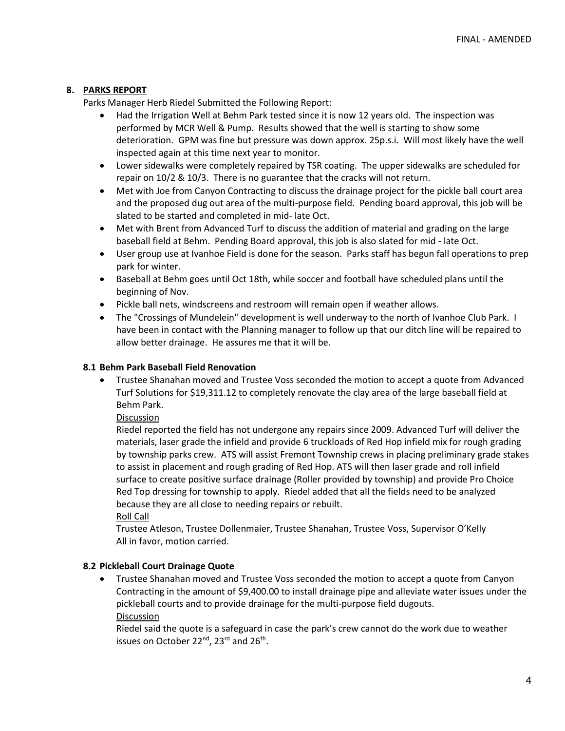### **8. PARKS REPORT**

Parks Manager Herb Riedel Submitted the Following Report:

- Had the Irrigation Well at Behm Park tested since it is now 12 years old. The inspection was performed by MCR Well & Pump. Results showed that the well is starting to show some deterioration. GPM was fine but pressure was down approx. 25p.s.i. Will most likely have the well inspected again at this time next year to monitor.
- Lower sidewalks were completely repaired by TSR coating. The upper sidewalks are scheduled for repair on 10/2 & 10/3. There is no guarantee that the cracks will not return.
- Met with Joe from Canyon Contracting to discuss the drainage project for the pickle ball court area and the proposed dug out area of the multi-purpose field. Pending board approval, this job will be slated to be started and completed in mid- late Oct.
- Met with Brent from Advanced Turf to discuss the addition of material and grading on the large baseball field at Behm. Pending Board approval, this job is also slated for mid - late Oct.
- User group use at Ivanhoe Field is done for the season. Parks staff has begun fall operations to prep park for winter.
- Baseball at Behm goes until Oct 18th, while soccer and football have scheduled plans until the beginning of Nov.
- Pickle ball nets, windscreens and restroom will remain open if weather allows.
- The "Crossings of Mundelein" development is well underway to the north of Ivanhoe Club Park. I have been in contact with the Planning manager to follow up that our ditch line will be repaired to allow better drainage. He assures me that it will be.

### **8.1 Behm Park Baseball Field Renovation**

• Trustee Shanahan moved and Trustee Voss seconded the motion to accept a quote from Advanced Turf Solutions for \$19,311.12 to completely renovate the clay area of the large baseball field at Behm Park.

Discussion

Riedel reported the field has not undergone any repairs since 2009. Advanced Turf will deliver the materials, laser grade the infield and provide 6 truckloads of Red Hop infield mix for rough grading by township parks crew. ATS will assist Fremont Township crews in placing preliminary grade stakes to assist in placement and rough grading of Red Hop. ATS will then laser grade and roll infield surface to create positive surface drainage (Roller provided by township) and provide Pro Choice Red Top dressing for township to apply. Riedel added that all the fields need to be analyzed because they are all close to needing repairs or rebuilt.

Roll Call

Trustee Atleson, Trustee Dollenmaier, Trustee Shanahan, Trustee Voss, Supervisor O'Kelly All in favor, motion carried.

### **8.2 Pickleball Court Drainage Quote**

• Trustee Shanahan moved and Trustee Voss seconded the motion to accept a quote from Canyon Contracting in the amount of \$9,400.00 to install drainage pipe and alleviate water issues under the pickleball courts and to provide drainage for the multi-purpose field dugouts. **Discussion** 

Riedel said the quote is a safeguard in case the park's crew cannot do the work due to weather issues on October 22<sup>nd</sup>, 23<sup>rd</sup> and 26<sup>th</sup>.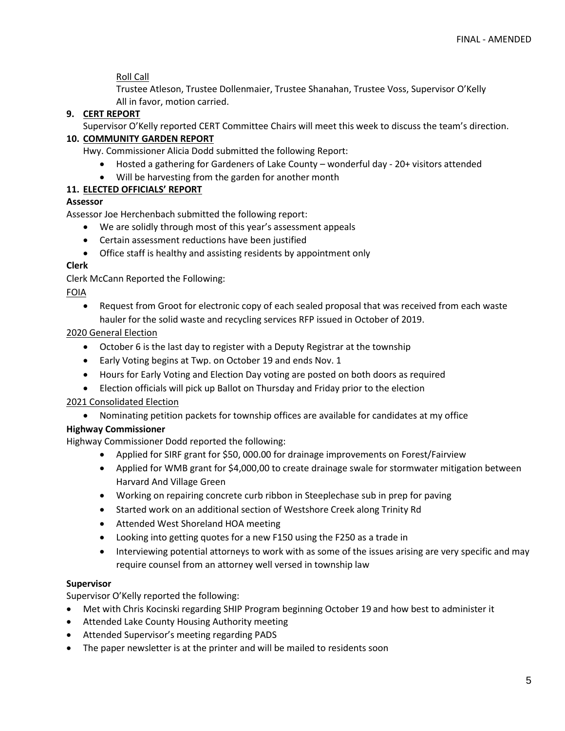Roll Call

Trustee Atleson, Trustee Dollenmaier, Trustee Shanahan, Trustee Voss, Supervisor O'Kelly All in favor, motion carried.

# **9. CERT REPORT**

Supervisor O'Kelly reported CERT Committee Chairs will meet this week to discuss the team's direction.

# **10. COMMUNITY GARDEN REPORT**

Hwy. Commissioner Alicia Dodd submitted the following Report:

- Hosted a gathering for Gardeners of Lake County wonderful day 20+ visitors attended
- Will be harvesting from the garden for another month

# **11. ELECTED OFFICIALS' REPORT**

## **Assessor**

Assessor Joe Herchenbach submitted the following report:

- We are solidly through most of this year's assessment appeals
- Certain assessment reductions have been justified
- Office staff is healthy and assisting residents by appointment only

## **Clerk**

Clerk McCann Reported the Following:

## FOIA

• Request from Groot for electronic copy of each sealed proposal that was received from each waste hauler for the solid waste and recycling services RFP issued in October of 2019.

# 2020 General Election

- October 6 is the last day to register with a Deputy Registrar at the township
- Early Voting begins at Twp. on October 19 and ends Nov. 1
- Hours for Early Voting and Election Day voting are posted on both doors as required
- Election officials will pick up Ballot on Thursday and Friday prior to the election

# 2021 Consolidated Election

• Nominating petition packets for township offices are available for candidates at my office

# **Highway Commissioner**

Highway Commissioner Dodd reported the following:

- Applied for SIRF grant for \$50, 000.00 for drainage improvements on Forest/Fairview
- Applied for WMB grant for \$4,000,00 to create drainage swale for stormwater mitigation between Harvard And Village Green
- Working on repairing concrete curb ribbon in Steeplechase sub in prep for paving
- Started work on an additional section of Westshore Creek along Trinity Rd
- Attended West Shoreland HOA meeting
- Looking into getting quotes for a new F150 using the F250 as a trade in
- Interviewing potential attorneys to work with as some of the issues arising are very specific and may require counsel from an attorney well versed in township law

# **Supervisor**

Supervisor O'Kelly reported the following:

- Met with Chris Kocinski regarding SHIP Program beginning October 19 and how best to administer it
- Attended Lake County Housing Authority meeting
- Attended Supervisor's meeting regarding PADS
- The paper newsletter is at the printer and will be mailed to residents soon